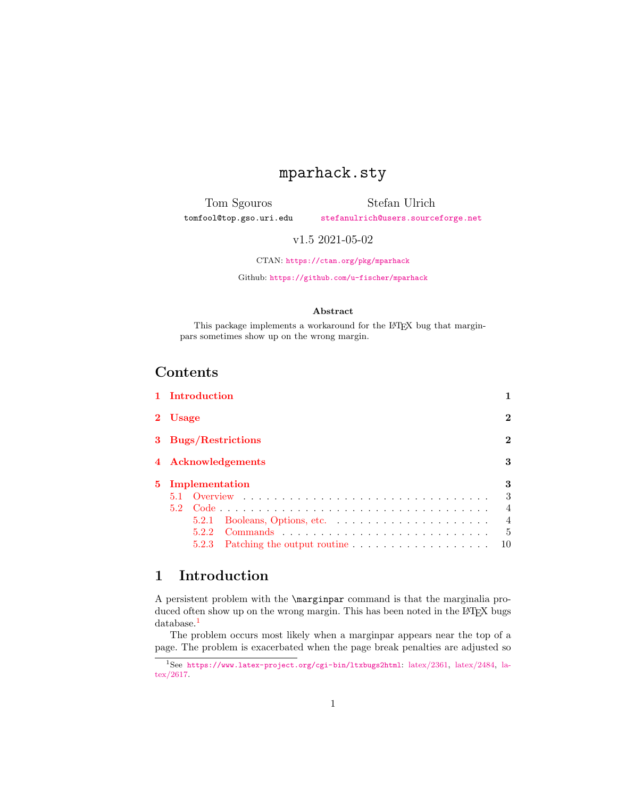## mparhack.sty

<span id="page-0-2"></span>Tom Sgouros tomfool@top.gso.uri.edu

Stefan Ulrich [stefanulrich@users.sourceforge.net](mailto:stefanulrich@users.sourceforge.net)

v1.5 2021-05-02

CTAN: <https://ctan.org/pkg/mparhack>

Github: <https://github.com/u-fischer/mparhack>

#### Abstract

This package implements a workaround for the IATEX bug that marginpars sometimes show up on the wrong margin.

## Contents

|                  | 1 Introduction      |  |  |  |   |  |                |
|------------------|---------------------|--|--|--|---|--|----------------|
| 2 Usage          |                     |  |  |  |   |  | $\bf{2}$       |
|                  | 3 Bugs/Restrictions |  |  |  |   |  | $\overline{2}$ |
|                  | 4 Acknowledgements  |  |  |  |   |  | 3              |
| 5 Implementation |                     |  |  |  | 3 |  |                |
|                  |                     |  |  |  |   |  | 3              |
| 5.2              |                     |  |  |  |   |  | $\overline{4}$ |
|                  | 5.2.1               |  |  |  |   |  | $\overline{4}$ |
|                  |                     |  |  |  |   |  | $\overline{5}$ |
|                  | 5.2.3               |  |  |  |   |  | 10             |

## <span id="page-0-0"></span>1 Introduction

A persistent problem with the \marginpar command is that the marginalia produced often show up on the wrong margin. This has been noted in the LAT<sub>E</sub>X bugs database.<sup>[1](#page-0-1)</sup>

The problem occurs most likely when a marginpar appears near the top of a page. The problem is exacerbated when the page break penalties are adjusted so

<span id="page-0-1"></span><sup>1</sup>See <https://www.latex-project.org/cgi-bin/ltxbugs2html>: [latex/2361,](https://www.latex-project.org/cgi-bin/ltxbugs2html?pr=latex/2361) [latex/2484,](https://www.latex-project.org/cgi-bin/ltxbugs2html?pr=latex/2484) [la](https://www.latex-project.org/cgi-bin/ltxbugs2html?pr=latex/2617)[tex/2617.](https://www.latex-project.org/cgi-bin/ltxbugs2html?pr=latex/2617)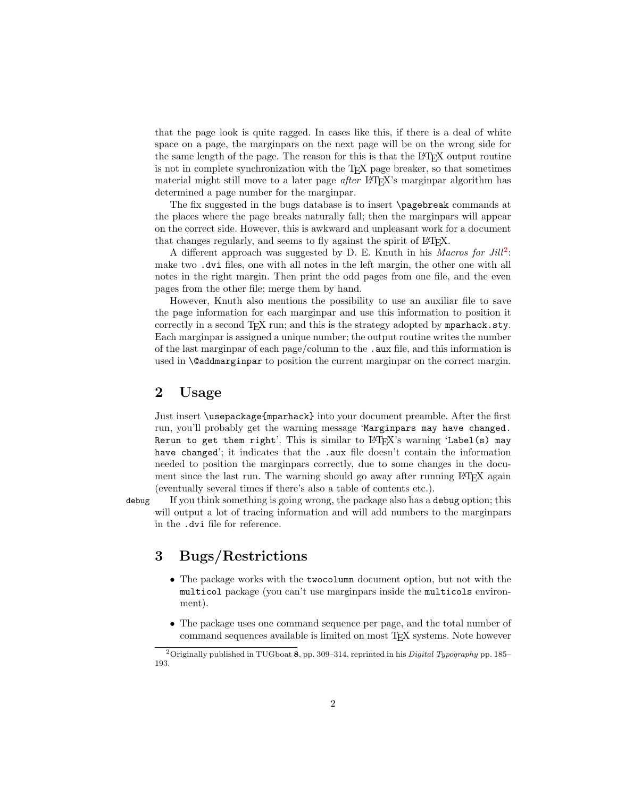that the page look is quite ragged. In cases like this, if there is a deal of white space on a page, the marginpars on the next page will be on the wrong side for the same length of the page. The reason for this is that the LATEX output routine is not in complete synchronization with the TEX page breaker, so that sometimes material might still move to a later page *after* LAT<sub>EX</sub>'s marginpar algorithm has determined a page number for the marginpar.

The fix suggested in the bugs database is to insert \pagebreak commands at the places where the page breaks naturally fall; then the marginpars will appear on the correct side. However, this is awkward and unpleasant work for a document that changes regularly, and seems to fly against the spirit of LAT<sub>EX</sub>.

A different approach was suggested by D. E. Knuth in his Macros for  $Jill^2$  $Jill^2$ : make two .dvi files, one with all notes in the left margin, the other one with all notes in the right margin. Then print the odd pages from one file, and the even pages from the other file; merge them by hand.

However, Knuth also mentions the possibility to use an auxiliar file to save the page information for each marginpar and use this information to position it correctly in a second T<sub>E</sub>X run; and this is the strategy adopted by  $mparback.$  sty. Each marginpar is assigned a unique number; the output routine writes the number of the last marginpar of each page/column to the .aux file, and this information is used in **\@addmarginpar** to position the current marginpar on the correct margin.

### <span id="page-1-0"></span>2 Usage

Just insert \usepackage{mparhack} into your document preamble. After the first run, you'll probably get the warning message 'Marginpars may have changed. Rerun to get them right'. This is similar to  $L^2T_FX$ 's warning 'Label(s) may have changed'; it indicates that the .aux file doesn't contain the information needed to position the marginpars correctly, due to some changes in the document since the last run. The warning should go away after running LAT<sub>EX</sub> again (eventually several times if there's also a table of contents etc.).

<span id="page-1-3"></span>

debug If you think something is going wrong, the package also has a debug option; this will output a lot of tracing information and will add numbers to the marginpars in the .dvi file for reference.

## <span id="page-1-1"></span>3 Bugs/Restrictions

- The package works with the twocolumn document option, but not with the multicol package (you can't use marginpars inside the multicols environment).
- The package uses one command sequence per page, and the total number of command sequences available is limited on most TEX systems. Note however

<span id="page-1-2"></span><sup>&</sup>lt;sup>2</sup> Originally published in TUGboat 8, pp. 309–314, reprinted in his *Digital Typography* pp. 185– 193.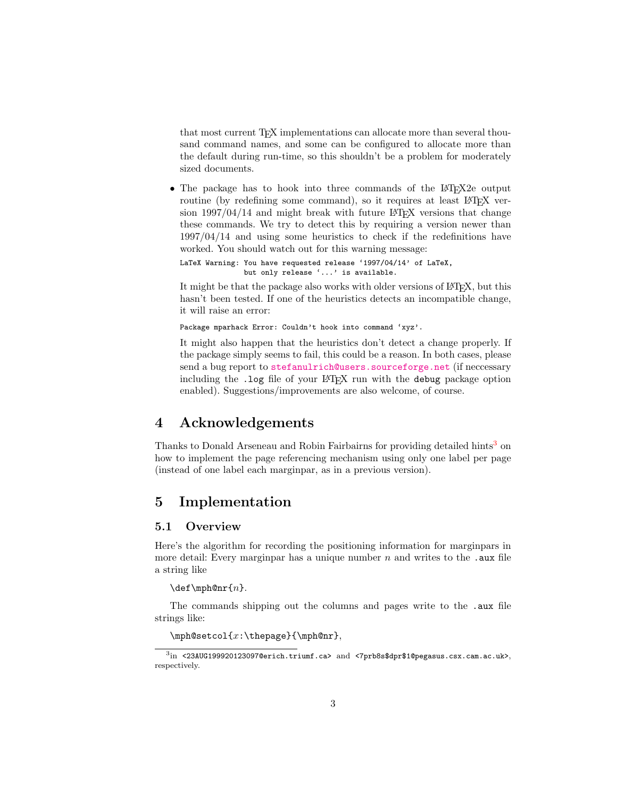that most current TEX implementations can allocate more than several thousand command names, and some can be configured to allocate more than the default during run-time, so this shouldn't be a problem for moderately sized documents.

• The package has to hook into three commands of the LAT<sub>E</sub>X2e output routine (by redefining some command), so it requires at least LAT<sub>EX</sub> version  $1997/04/14$  and might break with future LAT<sub>EX</sub> versions that change these commands. We try to detect this by requiring a version newer than 1997/04/14 and using some heuristics to check if the redefinitions have worked. You should watch out for this warning message:

```
LaTeX Warning: You have requested release '1997/04/14' of LaTeX,
               but only release '...' is available.
```
It might be that the package also works with older versions of LAT<sub>EX</sub>, but this hasn't been tested. If one of the heuristics detects an incompatible change, it will raise an error:

Package mparhack Error: Couldn't hook into command 'xyz'.

It might also happen that the heuristics don't detect a change properly. If the package simply seems to fail, this could be a reason. In both cases, please send a bug report to [stefanulrich@users.sourceforge.net](mailto:stefanulrich@users.sourceforge.net) (if neccessary including the .log file of your LAT<sub>EX</sub> run with the debug package option enabled). Suggestions/improvements are also welcome, of course.

## <span id="page-2-0"></span>4 Acknowledgements

Thanks to Donald Arseneau and Robin Fairbairns for providing detailed hints<sup>[3](#page-2-3)</sup> on how to implement the page referencing mechanism using only one label per page (instead of one label each marginpar, as in a previous version).

## <span id="page-2-1"></span>5 Implementation

### <span id="page-2-2"></span>5.1 Overview

Here's the algorithm for recording the positioning information for marginpars in more detail: Every marginpar has a unique number  $n$  and writes to the .aux file a string like

 $\det\mathcal{m}$ .

The commands shipping out the columns and pages write to the .aux file strings like:

```
\mathcal{X}: \the page {\mph@nr},
```
<span id="page-2-3"></span> $^3{\rm in}$  <23AUG199920123097@erich.triumf.ca> and <7prb8s\$dpr\$1@pegasus.csx.cam.ac.uk>, respectively.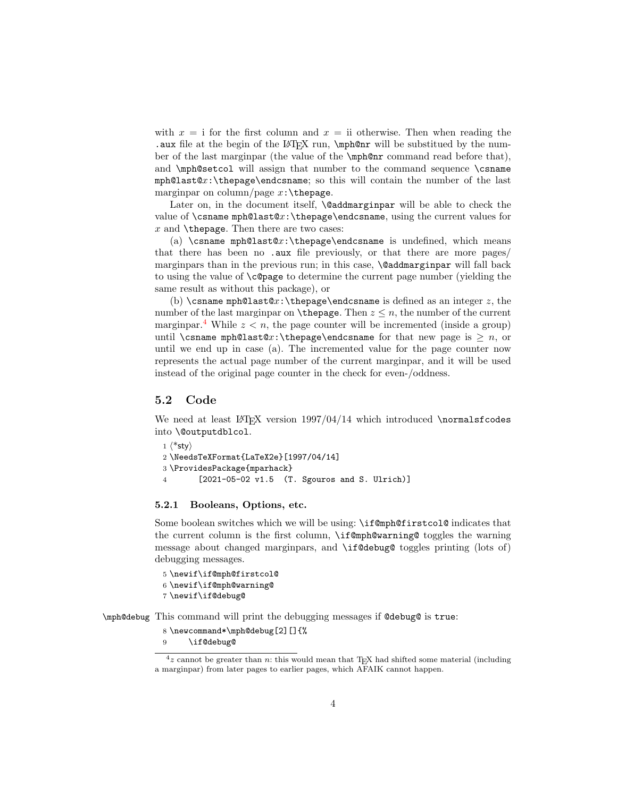with  $x = i$  for the first column and  $x = ii$  otherwise. Then when reading the .aux file at the begin of the LAT<sub>EX</sub> run, \mph@nr will be substitued by the number of the last marginpar (the value of the \mph@nr command read before that), and \mph@setcol will assign that number to the command sequence \csname mph@last@x:\thepage\endcsname; so this will contain the number of the last marginpar on column/page  $x:\theta$ .

Later on, in the document itself, **\@addmarginpar** will be able to check the value of  $\cosh(\theta x)$ . The page  $\end{math}$  endcsname, using the current values for  $x$  and  $\theta$ . Then there are two cases:

(a) \csname mph@last@x:\thepage\endcsname is undefined, which means that there has been no .aux file previously, or that there are more pages/ marginpars than in the previous run; in this case, **\@addmarginpar** will fall back to using the value of \c@page to determine the current page number (yielding the same result as without this package), or

(b) \csname mph@last@x:\thepage\endcsname is defined as an integer z, the number of the last marginpar on  $\theta$ . Then  $z \leq n$ , the number of the current marginpar.<sup>[4](#page-3-2)</sup> While  $z < n$ , the page counter will be incremented (inside a group) until \csname mph@last@x:\thepage\endcsname for that new page is  $\geq n$ , or until we end up in case (a). The incremented value for the page counter now represents the actual page number of the current marginpar, and it will be used instead of the original page counter in the check for even-/oddness.

#### <span id="page-3-0"></span>5.2 Code

We need at least  $LAT$ <sub>FX</sub> version  $1997/04/14$  which introduced \normalsfcodes into \@outputdblcol.

```
1 \langle*sty\rangle2 \NeedsTeXFormat{LaTeX2e}[1997/04/14]
3 \ProvidesPackage{mparhack}
4 [2021-05-02 v1.5 (T. Sgouros and S. Ulrich)]
```
#### <span id="page-3-1"></span>5.2.1 Booleans, Options, etc.

Some boolean switches which we will be using: \if@mph@firstcol@ indicates that the current column is the first column, \if@mph@warning@ toggles the warning message about changed marginpars, and \if@debug@ toggles printing (lots of) debugging messages.

```
5 \newif\if@mph@firstcol@
6 \newif\if@mph@warning@
7 \newif\if@debug@
```
<span id="page-3-7"></span>\mph@debug This command will print the debugging messages if @debug@ is true:

```
8 \newcommand*\mph@debug[2][]{%
```

```
9 \if@debug@
```
<span id="page-3-2"></span> $4z$  cannot be greater than n: this would mean that TEX had shifted some material (including a marginpar) from later pages to earlier pages, which AFAIK cannot happen.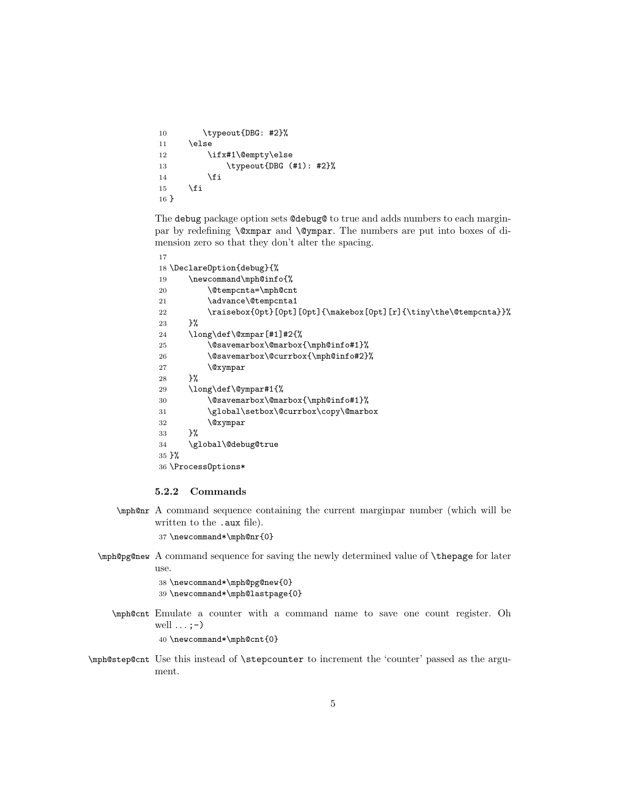```
10 \typeout{DBG: #2}%
11 \else
12 \ifx#1\@empty\else
13 \typeout{DBG (#1): #2}%
14 \overline{\ } \}15 \fi
16 }
```
The debug package option sets @debug@ to true and adds numbers to each marginpar by redefining \@xmpar and \@ympar. The numbers are put into boxes of dimension zero so that they don't alter the spacing.

```
17
18 \DeclareOption{debug}{%
19 \newcommand\mph@info{%
20 \@tempcnta=\mph@cnt
21 \advance\@tempcnta1
22 \raisebox{0pt}[0pt][0pt]{\makebox[0pt][r]{\tiny\the\@tempcnta}}%
23 }%
24 \long\def\@xmpar[#1]#2{%
25 \@savemarbox\@marbox{\mph@info#1}%
26 \@savemarbox\@currbox{\mph@info#2}%
27 \@xympar
28 }%
29 \long\def\@ympar#1{%
30 \@savemarbox\@marbox{\mph@info#1}%
31 \global\setbox\@currbox\copy\@marbox
32 \@xympar
33 }%
34 \global\@debug@true
35 }%
36 \ProcessOptions*
```
#### <span id="page-4-19"></span><span id="page-4-12"></span><span id="page-4-11"></span><span id="page-4-5"></span><span id="page-4-3"></span><span id="page-4-2"></span><span id="page-4-0"></span>5.2.2 Commands

<span id="page-4-16"></span>\mph@nr A command sequence containing the current marginpar number (which will be written to the .aux file).

37 \newcommand\*\mph@nr{0}

<span id="page-4-17"></span>\mph@pg@new A command sequence for saving the newly determined value of \thepage for later use.

> <span id="page-4-15"></span>38 \newcommand\*\mph@pg@new{0} 39 \newcommand\*\mph@lastpage{0}

<span id="page-4-13"></span>\mph@cnt Emulate a counter with a command name to save one count register. Oh well  $\ldots$  ; -  $\rangle$ 

40 \newcommand\*\mph@cnt{0}

<span id="page-4-18"></span>\mph@step@cnt Use this instead of \stepcounter to increment the 'counter' passed as the argument.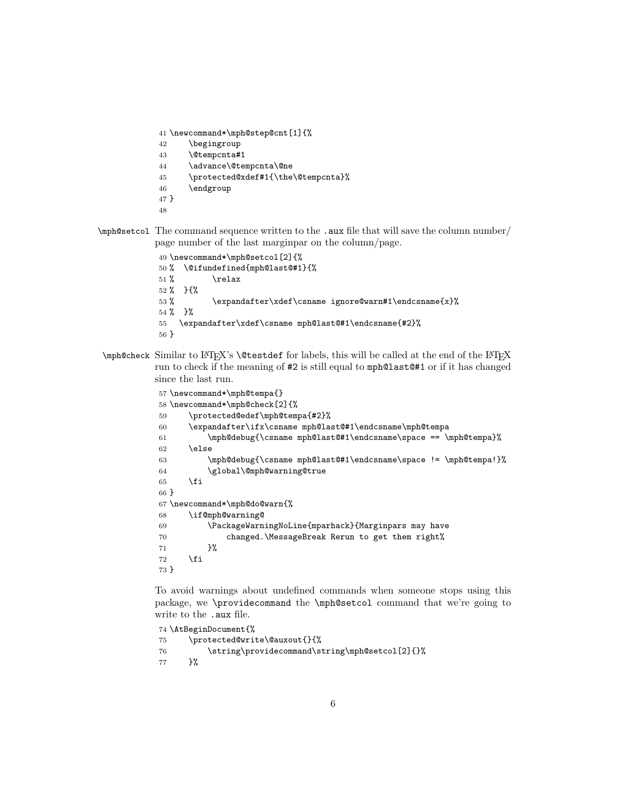<span id="page-5-5"></span><span id="page-5-4"></span><span id="page-5-3"></span> \newcommand\*\mph@step@cnt[1]{% \begingroup \@tempcnta#1 \advance\@tempcnta\@ne \protected@xdef#1{\the\@tempcnta}% \endgroup } 

<span id="page-5-13"></span>\mph@setcol The command sequence written to the .aux file that will save the column number/ page number of the last marginpar on the column/page.

```
49 \newcommand*\mph@setcol[2]{%
50 % \@ifundefined{mph@last@#1}{%
51\% \text{relax}52 \% } {%
53 % \expandafter\xdef\csname ignore@warn#1\endcsname{x}%
54 % }%
55 \expandafter\xdef\csname mph@last@#1\endcsname{#2}%
56 }
```
<span id="page-5-9"></span> $\mathbb{C}$  Similar to LATEX's  $\text{Set}$  for labels, this will be called at the end of the LATEX run to check if the meaning of #2 is still equal to mph@last@#1 or if it has changed since the last run.

```
57 \newcommand*\mph@tempa{}
58 \newcommand*\mph@check[2]{%
59 \protected@edef\mph@tempa{#2}%
60 \expandafter\ifx\csname mph@last@#1\endcsname\mph@tempa
61 \mph@debug{\csname mph@last@#1\endcsname\space == \mph@tempa}%
62 \else
63 \mph@debug{\csname mph@last@#1\endcsname\space != \mph@tempa!}%
64 \global\@mph@warning@true
65 \fi
66 }
67 \newcommand*\mph@do@warn{%
68 \if@mph@warning@
69 \PackageWarningNoLine{mparhack}{Marginpars may have
70 changed.\MessageBreak Rerun to get them right%
71 }%
72 \fi
73 }
```
<span id="page-5-18"></span><span id="page-5-12"></span><span id="page-5-8"></span><span id="page-5-7"></span>To avoid warnings about undefined commands when someone stops using this package, we \providecommand the \mph@setcol command that we're going to write to the .aux file.

```
74 \AtBeginDocument{%
75 \protected@write\@auxout{}{%
76 \string\providecommand\string\mph@setcol[2]{}%
77 }%
```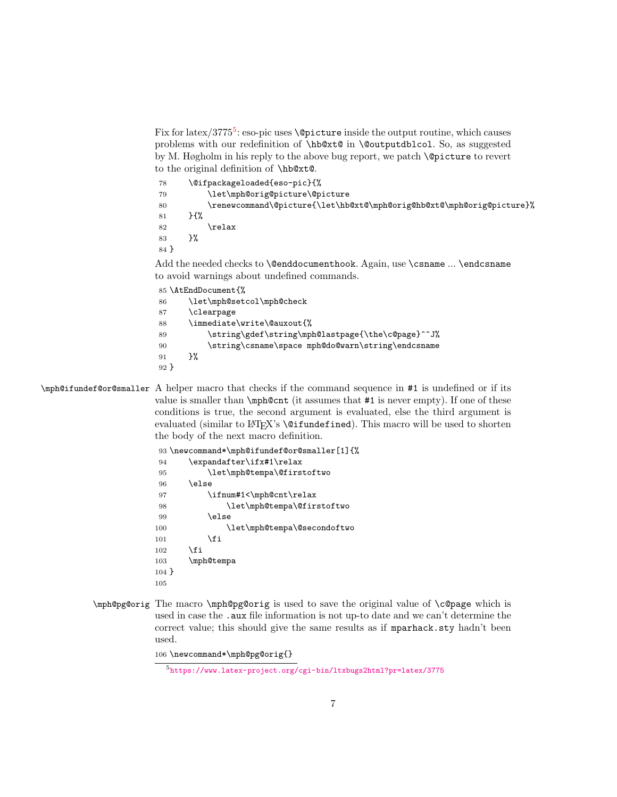<span id="page-6-16"></span>Fix for latex/377[5](#page-6-0)<sup>5</sup>: eso-pic uses **\@picture** inside the output routine, which causes problems with our redefinition of \hb@xt@ in \@outputdblcol. So, as suggested by M. Høgholm in his reply to the above bug report, we patch \@picture to revert to the original definition of \hb@xt@.

<span id="page-6-6"></span><span id="page-6-5"></span><span id="page-6-4"></span>

| 78   |      | \@ifpackageloaded{eso-pic}{%                                          |
|------|------|-----------------------------------------------------------------------|
| 79   |      | \let\mph@orig@picture\@picture                                        |
| 80   |      | \renewcommand\@picture{\let\hb@xt@\mph@orig@hb@xt@\mph@orig@picture}% |
| 81   | ን ና% |                                                                       |
| 82   |      | \relax                                                                |
| 83   | }%   |                                                                       |
| 84 P |      |                                                                       |
|      |      |                                                                       |

Add the needed checks to **\@enddocumenthook**. Again, use **\csname** ... **\endcsname** to avoid warnings about undefined commands.

<span id="page-6-11"></span><span id="page-6-10"></span><span id="page-6-9"></span><span id="page-6-8"></span><span id="page-6-1"></span>

|      | 85 \AtEndDocument{%                               |
|------|---------------------------------------------------|
| 86   | \let\mph@setcol\mph@check                         |
| 87   | \clearpage                                        |
| 88   | \immediate\write\@auxout{%                        |
| 89   | \string\gdef\string\mph@lastpage{\the\c@page}^^J% |
| 90   | \string\csname\space mph@do@warn\string\endcsname |
| 91   | ን%                                                |
| 92 F |                                                   |

<span id="page-6-13"></span>\mph@ifundef@or@smaller A helper macro that checks if the command sequence in #1 is undefined or if its value is smaller than \mph@cnt (it assumes that #1 is never empty). If one of these conditions is true, the second argument is evaluated, else the third argument is evaluated (similar to LAT<sub>E</sub>X's **\@ifundefined**). This macro will be used to shorten the body of the next macro definition.

<span id="page-6-12"></span><span id="page-6-7"></span><span id="page-6-3"></span><span id="page-6-2"></span>

|         | 93 \newcommand*\mph@ifundef@or@smaller[1]{% |
|---------|---------------------------------------------|
| 94      | \expandafter\ifx#1\relax                    |
| 95      | \let\mph@tempa\@firstoftwo                  |
| 96      | \else                                       |
| 97      | \ifnum#1<\mph@cnt\relax                     |
| 98      | \let\mph@tempa\@firstoftwo                  |
| 99      | \else                                       |
| 100     | \let\mph@tempa\@secondoftwo                 |
| 101     | \fi                                         |
| 102     | \fi                                         |
| 103     | \mph@tempa                                  |
| $104$ } |                                             |
| 105     |                                             |
|         |                                             |

<span id="page-6-15"></span><span id="page-6-14"></span>\mph@pg@orig The macro \mph@pg@orig is used to save the original value of \c@page which is used in case the . aux file information is not up-to date and we can't determine the correct value; this should give the same results as if mparhack.sty hadn't been used.

```
106 \newcommand*\mph@pg@orig{}
```
<span id="page-6-0"></span><https://www.latex-project.org/cgi-bin/ltxbugs2html?pr=latex/3775>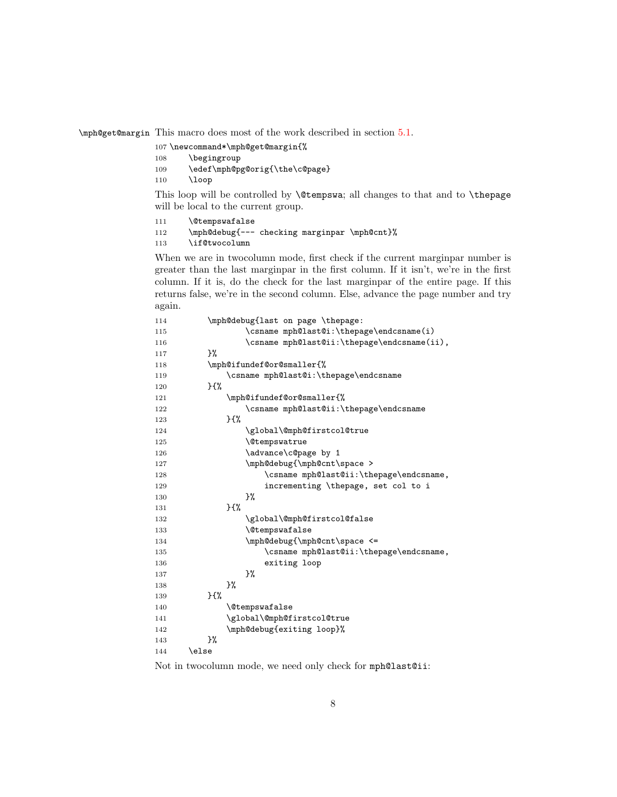<span id="page-7-15"></span>\mph@get@margin This macro does most of the work described in section [5.1.](#page-2-2)

- <span id="page-7-25"></span>\newcommand\*\mph@get@margin{%
- \begingroup
- <span id="page-7-7"></span>\edef\mph@pg@orig{\the\c@page}
- 110 \loop

This loop will be controlled by \@tempswa; all changes to that and to \thepage will be local to the current group.

- <span id="page-7-3"></span>\@tempswafalse
- <span id="page-7-10"></span>\mph@debug{--- checking marginpar \mph@cnt}%
- <span id="page-7-9"></span>\if@twocolumn

When we are in twocolumn mode, first check if the current marginpar number is greater than the last marginpar in the first column. If it isn't, we're in the first column. If it is, do the check for the last marginpar of the entire page. If this returns false, we're in the second column. Else, advance the page number and try again.

<span id="page-7-23"></span><span id="page-7-22"></span><span id="page-7-21"></span><span id="page-7-20"></span><span id="page-7-19"></span><span id="page-7-18"></span><span id="page-7-17"></span><span id="page-7-16"></span><span id="page-7-13"></span><span id="page-7-11"></span><span id="page-7-8"></span><span id="page-7-6"></span><span id="page-7-1"></span>

| 114 | \mph@debug{last on page \thepage:           |
|-----|---------------------------------------------|
| 115 | \csname mph@last@i:\thepage\endcsname(i)    |
| 116 | \csname mph@last@ii:\thepage\endcsname(ii), |
| 117 | }‰                                          |
| 118 | \mph@ifundef@or@smaller{%                   |
| 119 | \csname mph@last@i:\thepage\endcsname       |
| 120 | $H^2$                                       |
| 121 | \mph@ifundef@or@smaller{%                   |
| 122 | \csname mph@last@ii:\thepage\endcsname      |
| 123 | }{%                                         |
| 124 | \global\@mph@firstcol@true                  |
| 125 | <i><u><b>Netempswatrue</b></u></i>          |
| 126 | \advance\c@page by 1                        |
| 127 | \mph@debug{\mph@cnt\space >                 |
| 128 | \csname mph@last@ii:\thepage\endcsname,     |
| 129 | incrementing \thepage, set col to i         |
| 130 | ን%                                          |
| 131 | H%                                          |
| 132 | \global\@mph@firstcol@false                 |
| 133 | <i><b>\@tempswafalse</b></i>                |
| 134 | \mph@debug{\mph@cnt\space <=                |
| 135 | \csname mph@last@ii:\thepage\endcsname,     |
| 136 | exiting loop                                |
| 137 | }%                                          |
| 138 | 3%                                          |
| 139 | H                                           |
| 140 | <i><b>\@tempswafalse</b></i>                |
| 141 | \global\@mph@firstcol@true                  |
| 142 | \mph@debug{exiting loop}%                   |
| 143 | ን%                                          |
| 144 | \else                                       |

<span id="page-7-24"></span><span id="page-7-14"></span><span id="page-7-12"></span><span id="page-7-5"></span><span id="page-7-4"></span><span id="page-7-2"></span><span id="page-7-0"></span>Not in twocolumn mode, we need only check for mph@last@ii: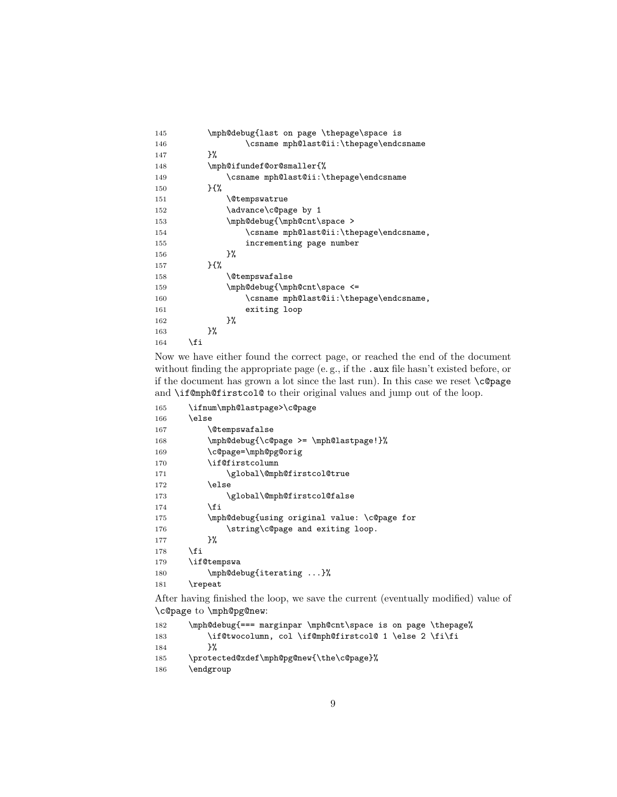<span id="page-8-26"></span><span id="page-8-24"></span><span id="page-8-23"></span><span id="page-8-22"></span><span id="page-8-20"></span><span id="page-8-18"></span><span id="page-8-15"></span><span id="page-8-5"></span><span id="page-8-4"></span>

| 145 | \mph@debug{last on page \thepage\space is |
|-----|-------------------------------------------|
| 146 | \csname mph@last@ii:\thepage\endcsname    |
| 147 | ጉ%                                        |
| 148 | \mph@ifundef@or@smaller{%                 |
| 149 | \csname mph@last@ii:\thepage\endcsname    |
| 150 | 35%                                       |
| 151 | <i><u><b>N</b>etempswatrue</u></i>        |
| 152 | \advance\c@page by 1                      |
| 153 | \mph@debug{\mph@cnt\space >               |
| 154 | \csname mph@last@ii:\thepage\endcsname,   |
| 155 | incrementing page number                  |
| 156 | ን%                                        |
| 157 | ን የአ                                      |
| 158 | <b>\@tempswafalse</b>                     |
| 159 | \mph@debug{\mph@cnt\space <=              |
| 160 | \csname mph@last@ii:\thepage\endcsname,   |
| 161 | exiting loop                              |
| 162 | ን%                                        |
| 163 | ን%                                        |
| 164 | \fi                                       |

<span id="page-8-25"></span><span id="page-8-16"></span><span id="page-8-2"></span>Now we have either found the correct page, or reached the end of the document without finding the appropriate page (e.g., if the .aux file hasn't existed before, or if the document has grown a lot since the last run). In this case we reset \c@page and \if@mph@firstcol@ to their original values and jump out of the loop.

<span id="page-8-12"></span><span id="page-8-8"></span><span id="page-8-7"></span><span id="page-8-6"></span><span id="page-8-3"></span><span id="page-8-1"></span><span id="page-8-0"></span>

| 165 | \ifnum\mph@lastpage>\c@page                  |
|-----|----------------------------------------------|
| 166 | \else                                        |
| 167 | <b>\@tempswafalse</b>                        |
| 168 | \mph@debug{\c@page >= \mph@lastpage!}%       |
| 169 | \c@page=\mph@pg@orig                         |
| 170 | \if@firstcolumn                              |
| 171 | \global\@mph@firstcol@true                   |
| 172 | \else                                        |
| 173 | \global\@mph@firstcol@false                  |
| 174 | \fi                                          |
| 175 | \mph@debug{using original value: \c@page for |
| 176 | \string\c@page and exiting loop.             |
| 177 | ን%                                           |
| 178 | \fi                                          |
| 179 | \if@tempswa                                  |
| 180 | \mph@debug{iterating }%                      |
| 181 | $\verb \repeat $                             |

<span id="page-8-21"></span><span id="page-8-19"></span><span id="page-8-14"></span><span id="page-8-10"></span><span id="page-8-9"></span>After having finished the loop, we save the current (eventually modified) value of \c@page to \mph@pg@new:

```
182 \mph@debug{=== marginpar \mph@cnt\space is on page \thepage%
183 \if@twocolumn, col \if@mph@firstcol@ 1 \else 2 \fi\fi<br>184 }%
184\,185 \protected@xdef\mph@pg@new{\the\c@page}%
186 \end{group}
```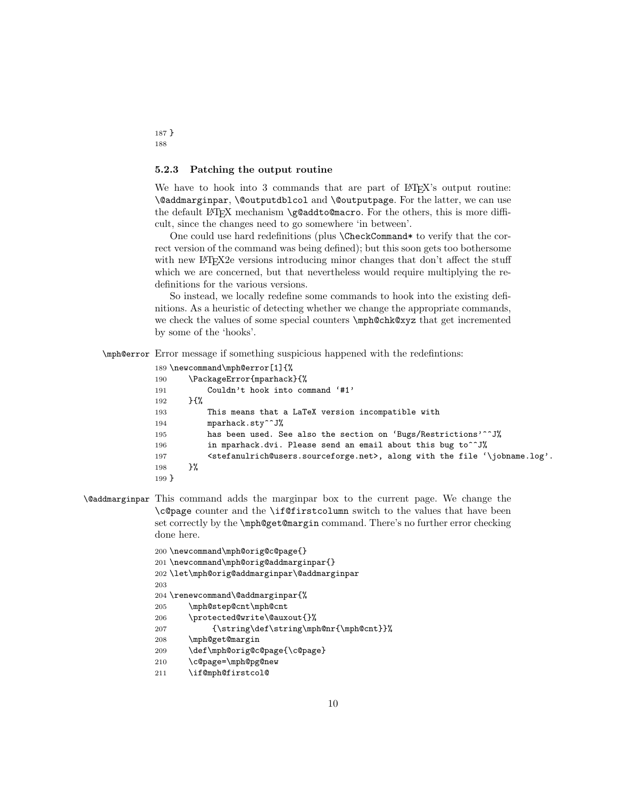#### <span id="page-9-0"></span>5.2.3 Patching the output routine

We have to hook into 3 commands that are part of LATEX's output routine: \@addmarginpar, \@outputdblcol and \@outputpage. For the latter, we can use the default LAT<sub>EX</sub> mechanism \g@addto@macro. For the others, this is more difficult, since the changes need to go somewhere 'in between'.

One could use hard redefinitions (plus \CheckCommand\* to verify that the correct version of the command was being defined); but this soon gets too bothersome with new LAT<sub>E</sub>X2e versions introducing minor changes that don't affect the stuff which we are concerned, but that nevertheless would require multiplying the redefinitions for the various versions.

So instead, we locally redefine some commands to hook into the existing definitions. As a heuristic of detecting whether we change the appropriate commands, we check the values of some special counters \mph@chk@xyz that get incremented by some of the 'hooks'.

<span id="page-9-8"></span>\mph@error Error message if something suspicious happened with the redefintions:

```
189 \newcommand\mph@error[1]{%
190 \PackageError{mparhack}{%
191 Couldn't hook into command '#1'
192 }\{%
193 This means that a LaTeX version incompatible with
194 mparhack.sty<sup>^</sup>~J%
195 has been used. See also the section on 'Bugs/Restrictions'^^J%
196 in mparhack.dvi. Please send an email about this bug to<sup>^^</sup>J%
197 <stefanulrich@users.sourceforge.net>, along with the file '\jobname.log'.
198 }%
199 }
```
<span id="page-9-1"></span>\@addmarginpar This command adds the marginpar box to the current page. We change the \c@page counter and the \if@firstcolumn switch to the values that have been set correctly by the \mph@get@margin command. There's no further error checking done here.

```
200 \newcommand\mph@orig@c@page{}
201 \newcommand\mph@orig@addmarginpar{}
202 \let\mph@orig@addmarginpar\@addmarginpar
203
204 \renewcommand\@addmarginpar{%
205 \mph@step@cnt\mph@cnt
206 \protected@write\@auxout{}%
207 {\string\def\string\mph@nr{\mph@cnt}}%
208 \mph@get@margin
209 \def\mph@orig@c@page{\c@page}
210 \c@page=\mph@pg@new
211 \if@mph@firstcol@
```
<span id="page-9-15"></span>187 } 188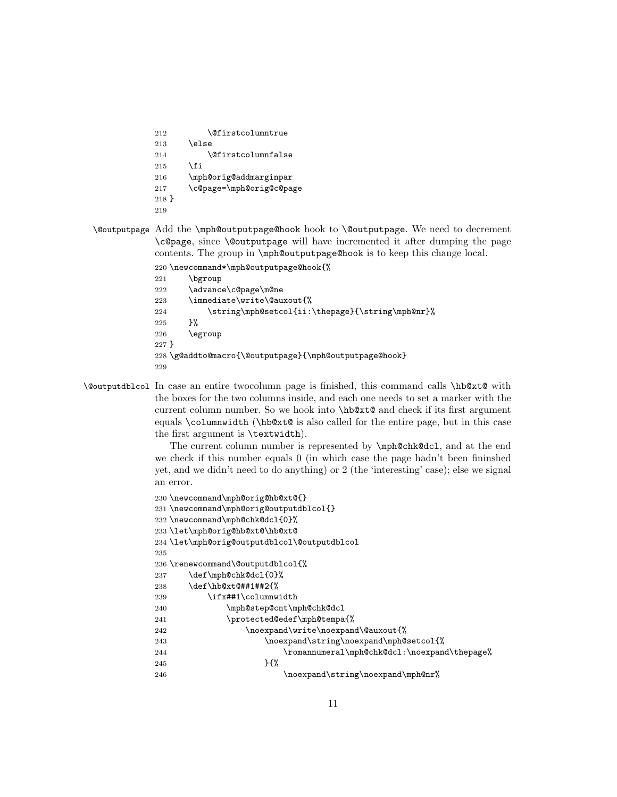<span id="page-10-26"></span><span id="page-10-18"></span><span id="page-10-6"></span><span id="page-10-3"></span><span id="page-10-2"></span>212 \@firstcolumntrue 213 \else 214 \@firstcolumnfalse 215  $\forall$ fi 216 \mph@orig@addmarginpar 217 \c@page=\mph@orig@c@page 218 } 219

<span id="page-10-5"></span>\@outputpage Add the \mph@outputpage@hook hook to \@outputpage. We need to decrement \c@page, since \@outputpage will have incremented it after dumping the page contents. The group in \mph@outputpage@hook is to keep this change local.

<span id="page-10-22"></span>220 \newcommand\*\mph@outputpage@hook{%

```
221 \bgroup
222 \advance\c@page\m@ne
223 \immediate\write\@auxout{%
224 \string\mph@setcol{ii:\thepage}{\string\mph@nr}%
225 }%
226 \egroup
227 }
228 \g@addto@macro{\@outputpage}{\mph@outputpage@hook}
229
```
<span id="page-10-4"></span>\@outputdblcol In case an entire twocolumn page is finished, this command calls \hb@xt@ with the boxes for the two columns inside, and each one needs to set a marker with the current column number. So we hook into \hb@xt@ and check if its first argument equals \columnwidth (\hb@xt@ is also called for the entire page, but in this case the first argument is \textwidth).

> The current column number is represented by \mph@chk@dcl, and at the end we check if this number equals 0 (in which case the page hadn't been fininshed yet, and we didn't need to do anything) or 2 (the 'interesting' case); else we signal an error.

```
230 \newcommand\mph@orig@hb@xt@{}
231 \newcommand\mph@orig@outputdblcol{}
232 \newcommand\mph@chk@dcl{0}%
233 \let\mph@orig@hb@xt@\hb@xt@
234 \let\mph@orig@outputdblcol\@outputdblcol
235
236 \renewcommand\@outputdblcol{%
237 \def\mph@chk@dcl{0}%
238 \def\hb@xt@##1##2{%
239 \ifx##1\columnwidth
240 \mph@step@cnt\mph@chk@dcl
241 \protected@edef\mph@tempa{%
242 \noexpand\write\noexpand\@auxout{%
243 \noexpand\string\noexpand\mph@setcol{%
244 \romannumeral\mph@chk@dcl:\noexpand\thepage%
245 } {%
246 \noexpand\string\noexpand\mph@nr%
```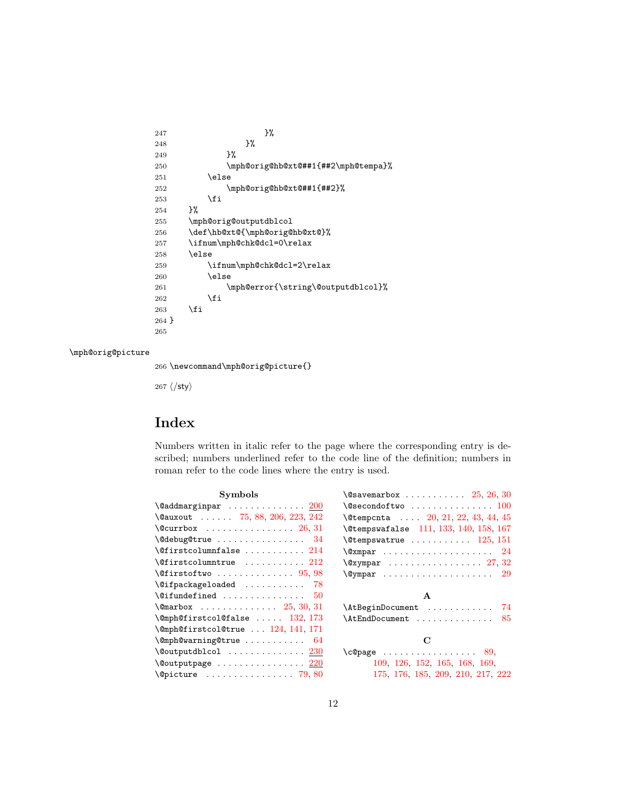```
247 }%
248 }%
249 }%
250 \mph@orig@hb@xt@##1{##2\mph@tempa}%
251 \else
252 \mph@orig@hb@xt@##1{##2}%
253 \setminusfi
254 }%
255 \mph@orig@outputdblcol
256 \def\hb@xt@{\mph@orig@hb@xt@}%
257 \ifnum\mph@chk@dcl=0\relax
258 \else
259 \ifnum\mph@chk@dcl=2\relax
260 \else
261 \mph@error{\string\@outputdblcol}%
262 \fi
     \chii
264 }
265
```
#### <span id="page-11-7"></span>\mph@orig@picture

<span id="page-11-3"></span><span id="page-11-2"></span>266 \newcommand\mph@orig@picture{}

267  $\langle$ /sty $\rangle$ 

## Index

Numbers written in italic refer to the page where the corresponding entry is described; numbers underlined refer to the code line of the definition; numbers in roman refer to the code lines where the entry is used.

| Symbols                                                   |  |  |  |  |
|-----------------------------------------------------------|--|--|--|--|
| $\text{Qaddmarginpar}$ 200                                |  |  |  |  |
| \@auxout  75, 88, 206, 223, 242                           |  |  |  |  |
| $\text{Ccurrbox} \dots \dots \dots \dots \dots \ 26, 31$  |  |  |  |  |
| $\{\texttt{Qdebug@true} \dots \dots \dots \dots \quad 34$ |  |  |  |  |
| $\setminus$ @firstcolumnfalse  214                        |  |  |  |  |
| $\setminus$ Cfirst columntrue  212                        |  |  |  |  |
| $\setminus$ Cfirstoftwo  95, 98                           |  |  |  |  |
| $\left\{\Omega_{\text{e}}\right\}$ 78                     |  |  |  |  |
| $\setminus$ Cifundefined<br>50                            |  |  |  |  |
| $\Gamma$ . (Omarbox  25, 30, 31)                          |  |  |  |  |
| $\emptyset$ mph@firstcol@false  132, 173                  |  |  |  |  |
| \@mph@firstcol@true  124, 141, 171                        |  |  |  |  |
| $\emptyset$ mph@warning@true  64                          |  |  |  |  |
|                                                           |  |  |  |  |
|                                                           |  |  |  |  |
| $\sqrt{c}$ picture  79,80                                 |  |  |  |  |

| $\sqrt{e}$ savemarbox $25, 26, 30$                                             |
|--------------------------------------------------------------------------------|
| $\texttt{\textbackslash@secondoftwo}} \dots \dots \dots \dots \dots \dots 100$ |
| $\text{Vetempenta} \quad \ldots \quad 20, 21, 22, 43, 44, 45$                  |
| \@tempswafalse 111, 133, 140, 158, 167                                         |
| $\text{Vetempswatrue} \ldots \ldots \ldots 125, 151$                           |
| $\sqrt{24}$                                                                    |
| $\sqrt{c}x$ ympar  27, 32                                                      |
| $\qquad$                                                                       |
| $\mathbf{A}$                                                                   |
| \AtBeginDocument  74                                                           |
| $\Lambda t$ EndDocument  85                                                    |
| С                                                                              |
| $\c{opage}$ 89,                                                                |
| 109, 126, 152, 165, 168, 169,                                                  |
| 175, 176, 185, 209, 210, 217, 222                                              |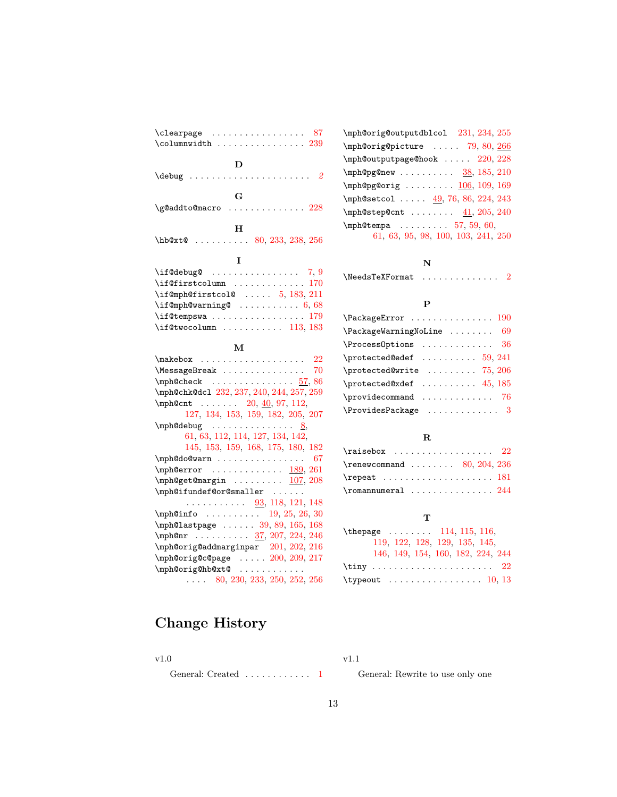| D                                                                     |
|-----------------------------------------------------------------------|
|                                                                       |
|                                                                       |
| $\mathbf G$                                                           |
| \g@addto@macro  228                                                   |
|                                                                       |
| н                                                                     |
| \hb@xt@<br>$\cdots \cdots \cdots$ 80, 233, 238, 256                   |
|                                                                       |
| 1                                                                     |
| $\iint$ <b>@debug@</b> 7,9                                            |
| $\left\{\text{if}$ Cfirstcolumn  170                                  |
| $\i{if@mph@firstcol@ \ldots 5, 183, 211}$                             |
|                                                                       |
| $\setminus$ if@tempswa  179                                           |
| $\left\{\text{itCtwocolumn} \dots \dots \dots \quad 113, 183\right\}$ |
|                                                                       |
| М                                                                     |
| $\mathcal{L}$<br>22                                                   |
| \MessageBreak<br>70                                                   |
|                                                                       |
| \mph@chk@dc1 232, 237, 240, 244, 257, 259                             |
| $\mbox{\texttt{mph@cnt}} \ldots$ 20, 40, 97, 112,                     |
| 127, 134, 153, 159, 182, 205, 207                                     |
| $\mho$ debug <u>8</u>                                                 |
| 61, 63, 112, 114, 127, 134, 142,                                      |
| 145, 153, 159, 168, 175, 180, 182                                     |
| \mph@do@warn<br>- 67                                                  |
|                                                                       |
| $\mph@error$ <u>189</u> , 261<br>\mph@get@margin <u>107</u> , 208     |
| \mph@ifundef@or@smaller                                               |
| $\cdots$ $\cdots$ $\frac{93}{118}$ , 121, 148                         |
| $\verb \mph@info        19, 25, 26, 30$                               |
| $\n\pm 39, 89, 165, 168$                                              |
| \mph@nr 37, 207, 224, 246                                             |
| \mph@orig@addmarginpar 201, 202, 216                                  |
|                                                                       |
| $\mph$ @orig@c@page  200, 209, 217                                    |
| \mph@orig@hb@xt@<br>$\ldots$ 80, 230, 233, 250, 252, 256              |
|                                                                       |

#### N

 $\label{thm:1} $$\NeedsTeXFormat \ldots \ldots \ldots 2$  $\label{thm:1} $$\NeedsTeXFormat \ldots \ldots \ldots 2$ 

#### P

| $\P$ rocessOptions  36                       |  |
|----------------------------------------------|--|
| $\omega$ $59, 241$                           |  |
| $\omega$ /protected@write  75, 206           |  |
| $\omega$ $45, 185$                           |  |
| $\propto$ 76                                 |  |
| $\verb+\ProvidesPackage + \dots + \dots + 3$ |  |

## R

| $\raisebox \dots \dots \dots \ 22$                        |  |  |  |  |  |  |  |
|-----------------------------------------------------------|--|--|--|--|--|--|--|
| $\$ {renewcommand 80, 204, 236                            |  |  |  |  |  |  |  |
| $\text{repeat} \dots \dots \dots \dots \dots \dots \ 181$ |  |  |  |  |  |  |  |
|                                                           |  |  |  |  |  |  |  |

### T

| \thepage $114, 115, 116$ ,                   |
|----------------------------------------------|
| 119, 122, 128, 129, 135, 145,                |
| 146, 149, 154, 160, 182, 224, 244            |
| \tiny  22                                    |
| $\type out \dots \dots \dots \dots \ 10, 13$ |

# Change History

v1.0

v1.1

General: Created . . . . . . . . . . . [1](#page-0-2) General: Rewrite to use only one